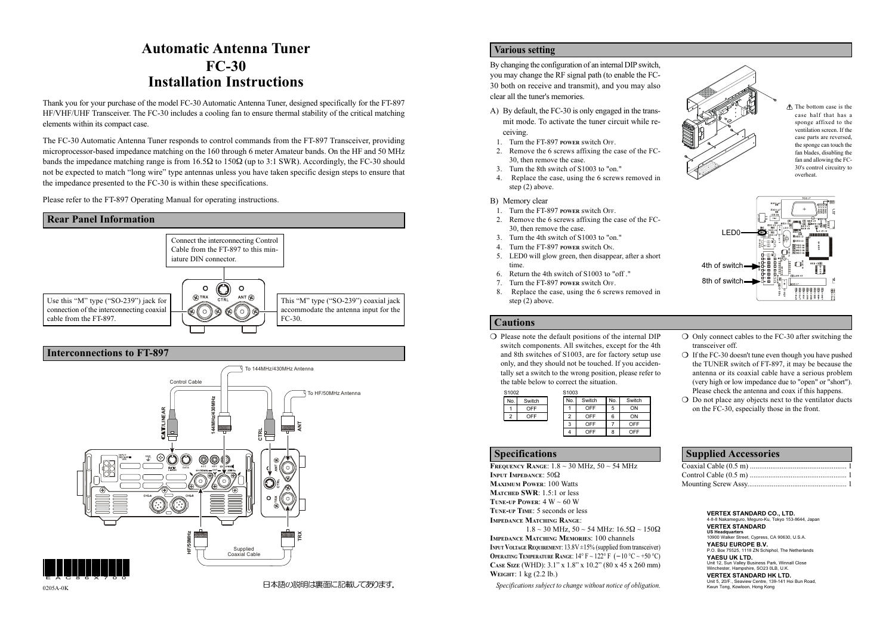#### Interconnections to FT-897

## Automatic Antenna Tuner FC-30 Installation Instructions

Thank you for your purchase of the model FC-30 Automatic Antenna Tuner, designed specifically for the FT-897 HF/VHF/UHF Transceiver. The FC-30 includes a cooling fan to ensure thermal stability of the critical matching elements within its compact case.

The FC-30 Automatic Antenna Tuner responds to control commands from the FT-897 Transceiver, providing microprocessor-based impedance matching on the 160 through 6 meter Amateur bands. On the HF and 50 MHz bands the impedance matching range is from  $16.5\Omega$  to  $150\Omega$  (up to 3:1 SWR). Accordingly, the FC-30 should not be expected to match "long wire" type antennas unless you have taken specific design steps to ensure that the impedance presented to the FC-30 is within these specifications.

Please refer to the FT-897 Operating Manual for operating instructions.



## Various setting

By changing the configuration of an internal DIP switch, you may change the RF signal path (to enable the FC-30 both on receive and transmit), and you may also clear all the tuner's memories.

FREQUENCY RANGE:  $1.8 \sim 30$  MHz,  $50 \sim 54$  MHz INPUT IMPEDANCE: 50Ω MAXIMUM POWER: 100 Watts MATCHED SWR: 1.5:1 or less TUNE-UP POWER:  $4 W ~ 60 W$ TUNE-UP TIME: 5 seconds or less IMPEDANCE MATCHING RANGE:  $1.8 \sim 30$  MHz,  $50 \sim 54$  MHz:  $16.5\Omega \sim 150\Omega$ IMPEDANCE MATCHING MEMORIES: 100 channels INPUT VOLTAGE REQUIREMENT:  $13.8V \pm 15\%$  (supplied from transceiver) OPERATING TEMPERATURE RANGE:  $14^{\circ}$  F ~  $122^{\circ}$  F (-10 °C ~ +50 °C) CASE SIZE (WHD): 3.1" x 1.8" x 10.2" (80 x 45 x 260 mm) WEIGHT: 1 kg (2.2 lb.)

- A) By default, the FC-30 is only engaged in the transmit mode. To activate the tuner circuit while receiving.
- 1. Turn the FT-897 POWER switch OFF.
- 2. Remove the 6 screws affixing the case of the FC-30, then remove the case.
- 3. Turn the 8th switch of S1003 to "on."
- 4. Replace the case, using the 6 screws removed in step (2) above.
- B) Memory clear
- 1. Turn the FT-897 POWER switch OFF.
- 2. Remove the 6 screws affixing the case of the FC-30, then remove the case.
- 3. Turn the 4th switch of S1003 to "on."
- 4. Turn the FT-897 POWER switch O<sup>N</sup>.
- 5. LED0 will glow green, then disappear, after a short time.
- 6. Return the 4th switch of S1003 to "off ."
- 7. Turn the FT-897 POWER switch OFF.
- 8. Replace the case, using the 6 screws removed in step (2) above.

## Specifications

Specifications subject to change without notice of obligation.

| <b>Supplied Accessories</b> |  |
|-----------------------------|--|
|                             |  |
|                             |  |
|                             |  |
|                             |  |

## Cautions

❍ Please note the default positions of the internal DIP switch components. All switches, except for the 4th and 8th switches of S1003, are for factory setup use only, and they should not be touched. If you accidentally set a switch to the wrong position, please refer to the table below to correct the situation.

- ❍ Only connect cables to the FC-30 after switching the transceiver off.
- ❍ If the FC-30 doesn't tune even though you have pushed the TUNER switch of FT-897, it may be because the antenna or its coaxial cable have a serious problem (very high or low impedance due to "open" or "short"). Please check the antenna and coax if this happens.
- $\overline{O}$  Do not place any objects next to the ventilator ducts on the FC-30, especially those in the front.

| S1002 |        | S <sub>1003</sub> |            |     |            |
|-------|--------|-------------------|------------|-----|------------|
| No.   | Switch | No.               | Switch     | No. | Switch     |
|       | OFF    |                   | <b>OFF</b> | 5   | ON         |
| 2     | OFF    | 2                 | <b>OFF</b> | 6   | ON         |
|       |        | 3                 | OFF        |     | <b>OFF</b> |
|       |        |                   | OFF        | 8   | OFF        |



EAC86X700 0205A-0K



| VERTEX STANDARD CO., LTD.<br>4-8-8 Nakameguro, Meguro-Ku, Tokyo 153-8644, Japan                                  |
|------------------------------------------------------------------------------------------------------------------|
| <b>VERTEX STANDARD</b><br><b>US Headquarters</b><br>10900 Walker Street, Cypress, CA 90630, U.S.A.               |
| YAESU EUROPE B.V.<br>P.O. Box 75525, 1118 ZN Schiphol, The Netherlands                                           |
| YAESU UK LTD.<br>Unit 12, Sun Valley Business Park, Winnall Close<br>Winchester, Hampshire, SO23 0LB, U.K.       |
| VERTEX STANDARD HK LTD.<br>Unit 5, 20/F., Seaview Centre, 139-141 Hoi Bun Road.<br>Kwun Tong, Kowloon, Hong Kong |